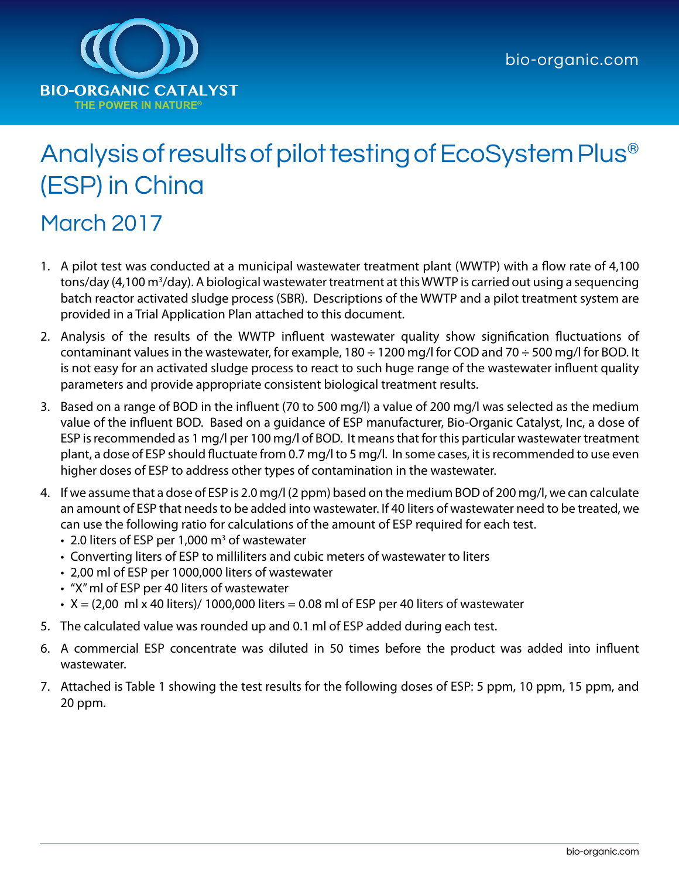

## Analysis of results of pilot testing of EcoSystem Plus® (ESP) in China

## March 2017

- 1. A pilot test was conducted at a municipal wastewater treatment plant (WWTP) with a flow rate of 4,100 tons/day (4,100 m<sup>3</sup>/day). A biological wastewater treatment at this WWTP is carried out using a sequencing batch reactor activated sludge process (SBR). Descriptions of the WWTP and a pilot treatment system are provided in a Trial Application Plan attached to this document.
- 2. Analysis of the results of the WWTP influent wastewater quality show signification fluctuations of contaminant values in the wastewater, for example, 180  $\div$  1200 mg/l for COD and 70  $\div$  500 mg/l for BOD. It is not easy for an activated sludge process to react to such huge range of the wastewater influent quality parameters and provide appropriate consistent biological treatment results.
- 3. Based on a range of BOD in the influent (70 to 500 mg/l) a value of 200 mg/l was selected as the medium value of the influent BOD. Based on a guidance of ESP manufacturer, Bio-Organic Catalyst, Inc, a dose of ESP is recommended as 1 mg/l per 100 mg/l of BOD. It means that for this particular wastewater treatment plant, a dose of ESP should fluctuate from 0.7 mg/l to 5 mg/l. In some cases, it is recommended to use even higher doses of ESP to address other types of contamination in the wastewater.
- 4. If we assume that a dose of ESP is 2.0 mg/l (2 ppm) based on the medium BOD of 200 mg/l, we can calculate an amount of ESP that needs to be added into wastewater. If 40 liters of wastewater need to be treated, we can use the following ratio for calculations of the amount of ESP required for each test.
	- 2.0 liters of ESP per 1,000  $\text{m}^3$  of wastewater
	- • Converting liters of ESP to milliliters and cubic meters of wastewater to liters
	- 2,00 ml of ESP per 1000,000 liters of wastewater
	- • "X" ml of ESP per 40 liters of wastewater
	- $\cdot$  X = (2,00 ml x 40 liters)/ 1000,000 liters = 0.08 ml of ESP per 40 liters of wastewater
- 5. The calculated value was rounded up and 0.1 ml of ESP added during each test.
- 6. A commercial ESP concentrate was diluted in 50 times before the product was added into influent wastewater.
- 7. Attached is Table 1 showing the test results for the following doses of ESP: 5 ppm, 10 ppm, 15 ppm, and 20 ppm.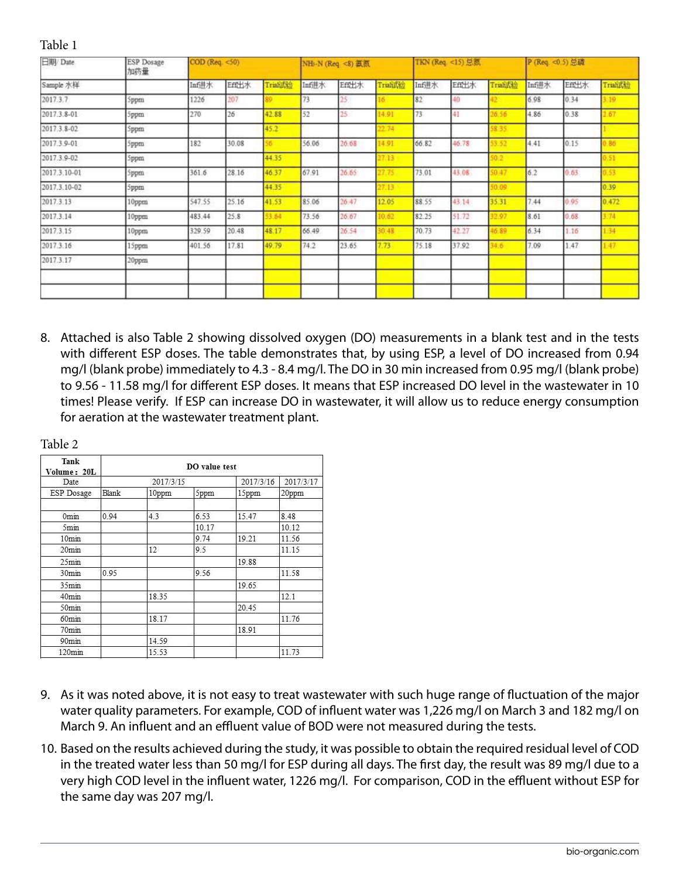| 日期 Date      | <b>ESP</b> Dosage<br>加药量 |        | COD (Reg. <50)<br>TKN (Req. <15) 总额<br>NH-N (Req. <8) 氯氮 |                 |       | P (Req. <0.5) 总磷 |            |       |       |          |       |       |                 |
|--------------|--------------------------|--------|----------------------------------------------------------|-----------------|-------|------------------|------------|-------|-------|----------|-------|-------|-----------------|
| Sample 水样    |                          | Inf进水  | Eff出水                                                    | <b>Triali式验</b> | Inf进水 | Eff出水            | Trialiflic | Inf进水 | Eff出水 | Triali式验 | Inf进水 | Eff出水 | <b>Triali式验</b> |
| 2017.3.7     | Sppm                     | 1226   | 207                                                      |                 | 73    |                  |            | 82    | 40    |          | 6.98  | 0.34  | 19              |
| 2017.3.8-01  | Sppm                     | 270    | 26                                                       | 42.88           | 52    | 25               | 14.91      | 73    | 41    | 06.56    | 4.86  | 0.38  | 67              |
| 2017.3.8-02  | Sppm                     |        |                                                          | 45.2            |       |                  | 2.74       |       |       | 8.35.    |       |       |                 |
| 2017.3.9-01  | 5ppm                     | 182    | 30.08                                                    |                 | 56.06 | 26.68            | 14.91      | 66.82 | 46.78 | 3.52     | 4.41  | 0.15  | .86             |
| 2017.3.9-02  | Sppm                     |        |                                                          | 44.35           |       |                  | 7.13       |       |       | 0.2      |       |       |                 |
| 2017.3.10-01 | 5ppm                     | 361.6  | 28.16                                                    | 46.37           | 67.91 | 26.65            | 27.75      | 73.01 | 43.08 | 50.47    | 6.2   | 0.63  | 53              |
| 2017.3.10-02 | 5ppm                     |        |                                                          | 44.35           |       |                  | 27.13      |       |       | 0.09     |       |       | 0.39            |
| 2017.3.13    | 10ppm                    | 547.55 | 25.16                                                    | 41.53           | 85.06 | 26.47            | 12.05      | 88.55 | 43.14 | 35.31    | 7.44  | 0.95  | 0.472           |
| 2017.3.14    | 10ppm                    | 483.44 | 25.8                                                     | 53.64           | 73.56 | 26.67            | 10.62      | 82.25 | 51.72 | 12.97    | 8.61  | 0.58  | 74              |
| 2017.3.15    | 10ppm                    | 329.59 | 20.48                                                    | 48.17           | 66.49 | 26.54            | 30.48      | 70.73 | 42.27 | 46.89    | 6.34  | 1.16  | 34              |
| 2017.3.16    | 15ppm                    | 401.56 | 17.81                                                    | 49.79           | 74.2  | 23.65            | 7.73       | 75.18 | 37.92 | 34.6     | 7.09  | 1.47  | .47             |
| 2017.3.17    | 20ppm                    |        |                                                          |                 |       |                  |            |       |       |          |       |       |                 |
|              |                          |        |                                                          |                 |       |                  |            |       |       |          |       |       |                 |
|              |                          |        |                                                          |                 |       |                  |            |       |       |          |       |       |                 |

8. Attached is also Table 2 showing dissolved oxygen (DO) measurements in a blank test and in the tests with different ESP doses. The table demonstrates that, by using ESP, a level of DO increased from 0.94 mg/l (blank probe) immediately to 4.3 - 8.4 mg/l. The DO in 30 min increased from 0.95 mg/l (blank probe) to 9.56 - 11.58 mg/l for different ESP doses. It means that ESP increased DO level in the wastewater in 10 times! Please verify. If ESP can increase DO in wastewater, it will allow us to reduce energy consumption for aeration at the wastewater treatment plant.

| Tank<br>Volume: 20L | DO value test |           |           |           |       |  |  |  |  |
|---------------------|---------------|-----------|-----------|-----------|-------|--|--|--|--|
| Date                |               | 2017/3/15 | 2017/3/16 | 2017/3/17 |       |  |  |  |  |
| ESP Dosage          | Blank         | 10ppm     | 5ppm      | 15ppm     | 20ppm |  |  |  |  |
| 0 <sub>mm</sub>     | 0.94          | 4.3       | 6.53      | 15.47     | 8.48  |  |  |  |  |
| 5mm                 |               |           | 10.17     |           | 10.12 |  |  |  |  |
| 10 <sub>min</sub>   |               |           | 9.74      | 19.21     | 11.56 |  |  |  |  |
| 20 <sub>min</sub>   |               | 12        | 9.5       |           | 11.15 |  |  |  |  |
| 25 <sub>min</sub>   |               |           |           | 19.88     |       |  |  |  |  |
| 30mm                | 0.95          |           | 9.56      |           | 11.58 |  |  |  |  |
| 35 <sub>min</sub>   |               |           |           | 19.65     |       |  |  |  |  |
| 40mm                |               | 18.35     |           |           | 12.1  |  |  |  |  |
| 50mm                |               |           |           | 20.45     |       |  |  |  |  |
| 60 <sub>min</sub>   |               | 18.17     |           |           | 11.76 |  |  |  |  |
| 70 <sub>min</sub>   |               |           |           | 18.91     |       |  |  |  |  |
| 90 <sub>min</sub>   |               | 14.59     |           |           |       |  |  |  |  |
| 120 <sub>min</sub>  |               | 15.53     |           |           | 11.73 |  |  |  |  |

Table 2

Table 1

- 9. As it was noted above, it is not easy to treat wastewater with such huge range of fluctuation of the major water quality parameters. For example, COD of influent water was 1,226 mg/l on March 3 and 182 mg/l on March 9. An influent and an effluent value of BOD were not measured during the tests.
- 10. Based on the results achieved during the study, it was possible to obtain the required residual level of COD in the treated water less than 50 mg/l for ESP during all days. The first day, the result was 89 mg/l due to a very high COD level in the influent water, 1226 mg/l. For comparison, COD in the effluent without ESP for the same day was 207 mg/l.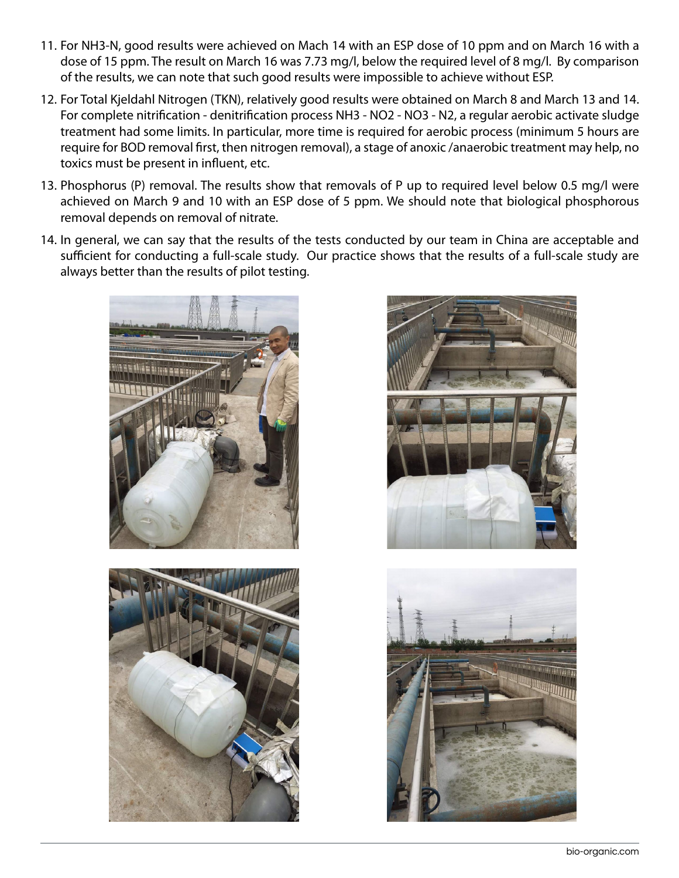- 11. For NH3-N, good results were achieved on Mach 14 with an ESP dose of 10 ppm and on March 16 with a dose of 15 ppm. The result on March 16 was 7.73 mg/l, below the required level of 8 mg/l. By comparison of the results, we can note that such good results were impossible to achieve without ESP.
- 12. For Total Kjeldahl Nitrogen (TKN), relatively good results were obtained on March 8 and March 13 and 14. For complete nitrification - denitrification process NH3 - NO2 - NO3 - N2, a regular aerobic activate sludge treatment had some limits. In particular, more time is required for aerobic process (minimum 5 hours are require for BOD removal first, then nitrogen removal), a stage of anoxic /anaerobic treatment may help, no toxics must be present in influent, etc.
- 13. Phosphorus (P) removal. The results show that removals of P up to required level below 0.5 mg/l were achieved on March 9 and 10 with an ESP dose of 5 ppm. We should note that biological phosphorous removal depends on removal of nitrate.
- 14. In general, we can say that the results of the tests conducted by our team in China are acceptable and sufficient for conducting a full-scale study. Our practice shows that the results of a full-scale study are always better than the results of pilot testing.







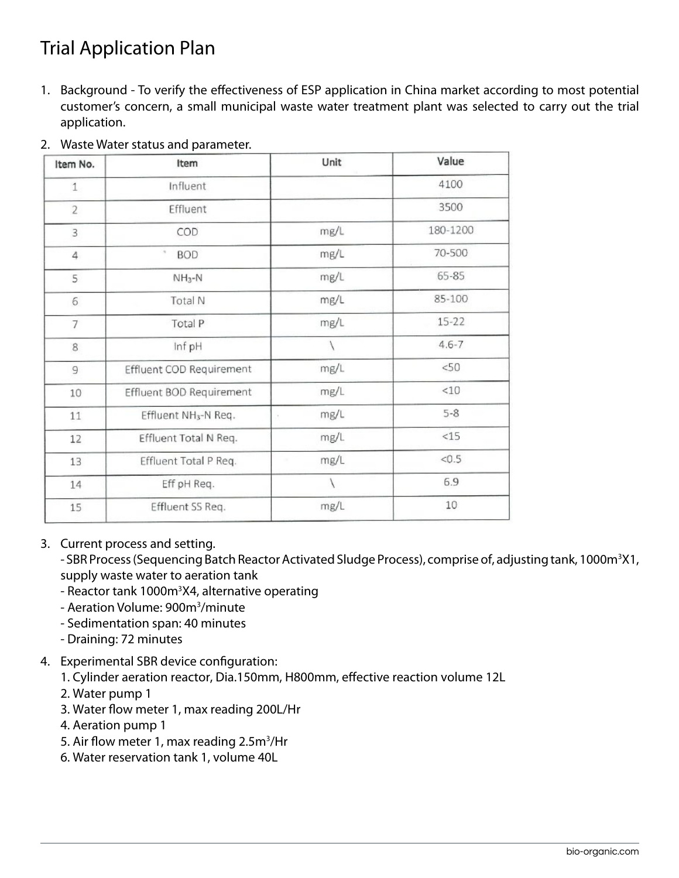## Trial Application Plan

1. Background - To verify the effectiveness of ESP application in China market according to most potential customer's concern, a small municipal waste water treatment plant was selected to carry out the trial application.

| Item No.       | Item                             | Unit             | Value     |
|----------------|----------------------------------|------------------|-----------|
| $\mathbf{1}$   | Influent                         |                  | 4100      |
| $\overline{2}$ | Effluent                         |                  | 3500      |
| 3              | COD                              | mg/L             | 180-1200  |
| $\overline{4}$ | $\sim$<br><b>BOD</b>             | mg/L             | 70-500    |
| 5              | $NH3-N$                          | mg/L             | 65-85     |
| 6              | Total N                          | mg/L             | 85-100    |
| $\overline{7}$ | Total P                          | mg/L             | $15 - 22$ |
| 8              | Inf pH                           |                  | $4.6 - 7$ |
| 9              | Effluent COD Requirement         | mg/L             | <50       |
| 10             | Effluent BOD Requirement         | mg/L             | $<$ 10    |
| 11             | Effluent NH <sub>3</sub> -N Req. | mg/L             | $5 - 8$   |
| 12             | Effluent Total N Req.            | mg/L             | <15       |
| 13             | Effluent Total P Req.            | mg/L<br>$\alpha$ | < 0.5     |
| 14             | Eff pH Req.                      | $\backslash$     | 6.9       |
| 15             | Effluent SS Req.                 | mg/L             | 10        |

2. Waste Water status and parameter.

## 3. Current process and setting.

- SBR Process (Sequencing Batch Reactor Activated Sludge Process), comprise of, adjusting tank, 1000m<sup>3</sup>X1, supply waste water to aeration tank

- Reactor tank 1000m<sup>3</sup>X4, alternative operating
- Aeration Volume: 900m<sup>3</sup>/minute
- Sedimentation span: 40 minutes
- Draining: 72 minutes
- 4. Experimental SBR device configuration:
	- 1. Cylinder aeration reactor, Dia.150mm, H800mm, effective reaction volume 12L
	- 2. Water pump 1
	- 3. Water flow meter 1, max reading 200L/Hr
	- 4. Aeration pump 1
	- 5. Air flow meter 1, max reading 2.5m<sup>3</sup>/Hr
	- 6. Water reservation tank 1, volume 40L